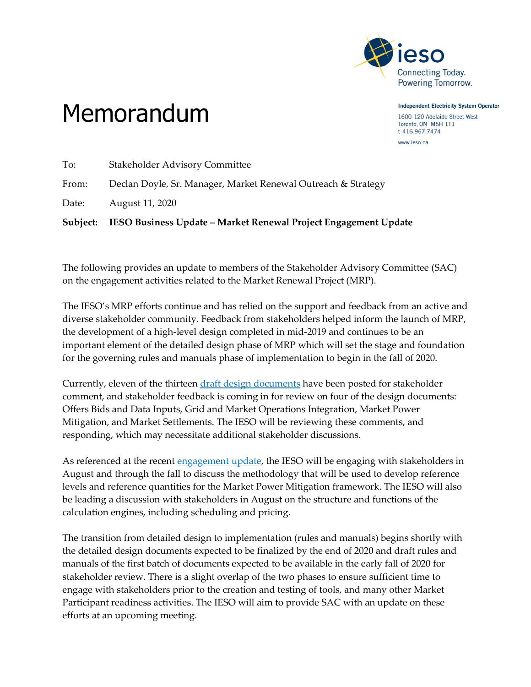

**Independent Electricity System Operator** 1600-120 Adelaide Street West Toronto, ON M5H 1T1 t 416.967.7474 www.ieso.ca

## Memorandum

|       | Subject: IESO Business Update – Market Renewal Project Engagement Update |
|-------|--------------------------------------------------------------------------|
| Date: | August 11, 2020                                                          |
| From: | Declan Doyle, Sr. Manager, Market Renewal Outreach & Strategy            |
| To:   | <b>Stakeholder Advisory Committee</b>                                    |

The following provides an update to members of the Stakeholder Advisory Committee (SAC) on the engagement activities related to the Market Renewal Project (MRP).

The IESO's MRP efforts continue and has relied on the support and feedback from an active and diverse stakeholder community. Feedback from stakeholders helped inform the launch of MRP, the development of a high-level design completed in mid-2019 and continues to be an important element of the detailed design phase of MRP which will set the stage and foundation for the governing rules and manuals phase of implementation to begin in the fall of 2020.

Currently, eleven of the thirteen draft design [documents](http://www.ieso.ca/en/Market-Renewal/Energy-Stream-Designs/Detailed-Design) have been posted for stakeholder comment, and stakeholder feedback is coming in for review on four of the design documents: Offers Bids and Data Inputs, Grid and Market Operations Integration, Market Power Mitigation, and Market Settlements. The IESO will be reviewing these comments, and responding, which may necessitate additional stakeholder discussions.

As referenced at the recent [engagement](http://www.ieso.ca/-/media/Files/IESO/Document-Library/engage/mrp-edd/edd-20200724-presentation.pdf?la=en) update, the IESO will be engaging with stakeholders in August and through the fall to discuss the methodology that will be used to develop reference levels and reference quantities for the Market Power Mitigation framework. The IESO will also be leading a discussion with stakeholders in August on the structure and functions of the calculation engines, including scheduling and pricing.

The transition from detailed design to implementation (rules and manuals) begins shortly with the detailed design documents expected to be finalized by the end of 2020 and draft rules and manuals of the first batch of documents expected to be available in the early fall of 2020 for stakeholder review. There is a slight overlap of the two phases to ensure sufficient time to engage with stakeholders prior to the creation and testing of tools, and many other Market Participant readiness activities. The IESO will aim to provide SAC with an update on these efforts at an upcoming meeting.